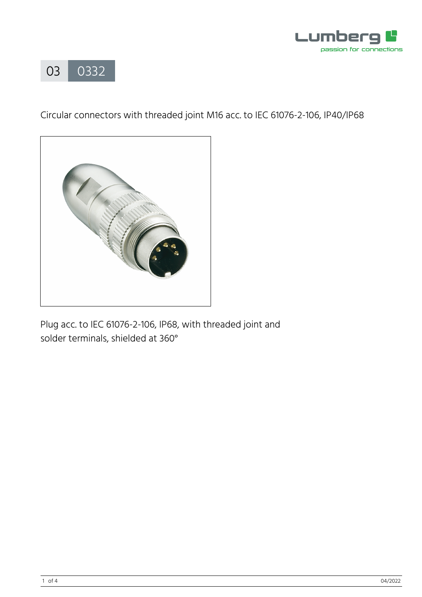



Circular connectors with threaded joint M16 acc. to IEC 61076-2-106, IP40/IP68



Plug acc. to IEC 61076-2-106, IP68, with threaded joint and solder terminals, shielded at 360°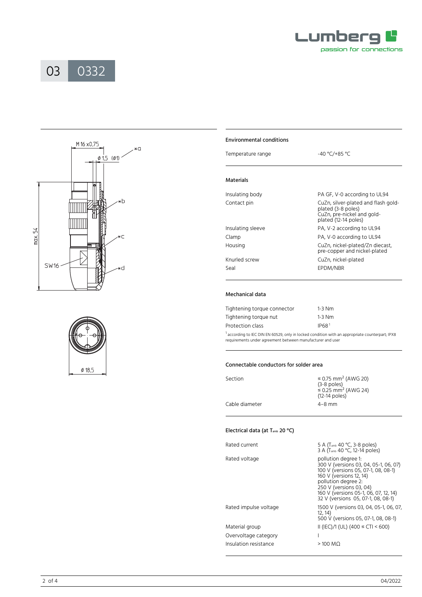







| <b>Environmental conditions</b> |                                                                                                                 |  |  |  |  |
|---------------------------------|-----------------------------------------------------------------------------------------------------------------|--|--|--|--|
| Temperature range               | -40 °C/+85 °C                                                                                                   |  |  |  |  |
| <b>Materials</b>                |                                                                                                                 |  |  |  |  |
| Insulating body                 | PA GF, V-0 according to UL94                                                                                    |  |  |  |  |
| Contact pin                     | CuZn, silver-plated and flash gold-<br>plated (3-8 poles)<br>CuZn, pre-nickel and gold-<br>plated (12-14 poles) |  |  |  |  |
| Insulating sleeve               | PA, V-2 according to UL94                                                                                       |  |  |  |  |
| Clamp                           | PA, V-0 according to UL94                                                                                       |  |  |  |  |
| Housing                         | CuZn, nickel-plated/Zn diecast,<br>pre-copper and nickel-plated                                                 |  |  |  |  |
| Knurled screw                   | CuZn, nickel-plated                                                                                             |  |  |  |  |
| Seal                            | EPDM/NBR                                                                                                        |  |  |  |  |

## Mechanical data

 $\overline{a}$ 

| Tightening torque connector | $1-3$ Nm          |
|-----------------------------|-------------------|
| Tightening torque nut       | $1-3$ Nm          |
| Protection class            | IP68 <sup>1</sup> |
|                             |                   |

<sup>1</sup> according to IEC DIN EN 60529, only in locked condition with an appropriate counterpart; IPX8 requirements under agreement between manufacturer and user

## Connectable conductors for solder area

| Section        | ≤ 0.75 mm <sup>2</sup> (AWG 20)<br>$(3-8$ poles)<br>$\leq$ 0.25 mm <sup>2</sup> (AWG 24)<br>$(12-14$ poles) |  |
|----------------|-------------------------------------------------------------------------------------------------------------|--|
| Cable diameter | $4 - 8$ mm                                                                                                  |  |
|                |                                                                                                             |  |

## Electrical data (at Tamb 20 °C)

| Rated current         | 5 A (T <sub>amb</sub> 40 °C, 3-8 poles)                                                                                                                                                                                                                         |
|-----------------------|-----------------------------------------------------------------------------------------------------------------------------------------------------------------------------------------------------------------------------------------------------------------|
|                       | 3 A (T <sub>amb</sub> 40 °C, 12-14 poles)                                                                                                                                                                                                                       |
| Rated voltage         | pollution degree 1:<br>300 V (versions 03, 04, 05-1, 06, 07)<br>100 V (versions 05, 07-1, 08, 08-1)<br>160 V (versions 12, 14)<br>pollution degree 2:<br>250 V (versions 03, 04)<br>160 V (versions 05-1, 06, 07, 12, 14)<br>32 V (versions 05, 07-1, 08, 08-1) |
| Rated impulse voltage | 1500 V (versions 03, 04, 05-1, 06, 07,<br>12, 14)<br>500 V (versions 05, 07-1, 08, 08-1)                                                                                                                                                                        |
| Material group        | II (IEC)/1 (UL) (400 $\leq$ CTI < 600)                                                                                                                                                                                                                          |
| Overvoltage category  |                                                                                                                                                                                                                                                                 |
| Insulation resistance | $>100$ MQ                                                                                                                                                                                                                                                       |
|                       |                                                                                                                                                                                                                                                                 |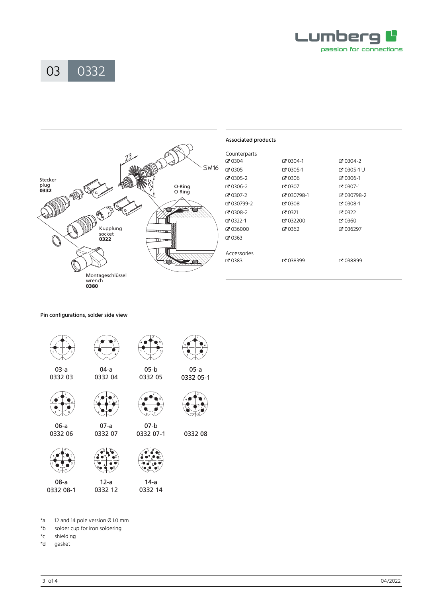





Pin configurations, solder side view







0332 08-1



 $14-a$ 

 $\mathsf{s}^\star$ 12 and 14 pole version Ø 1.0 mm

- $*$ b solder cup for iron soldering
- $C^*$ shielding
- $\overline{b}^*$ gasket